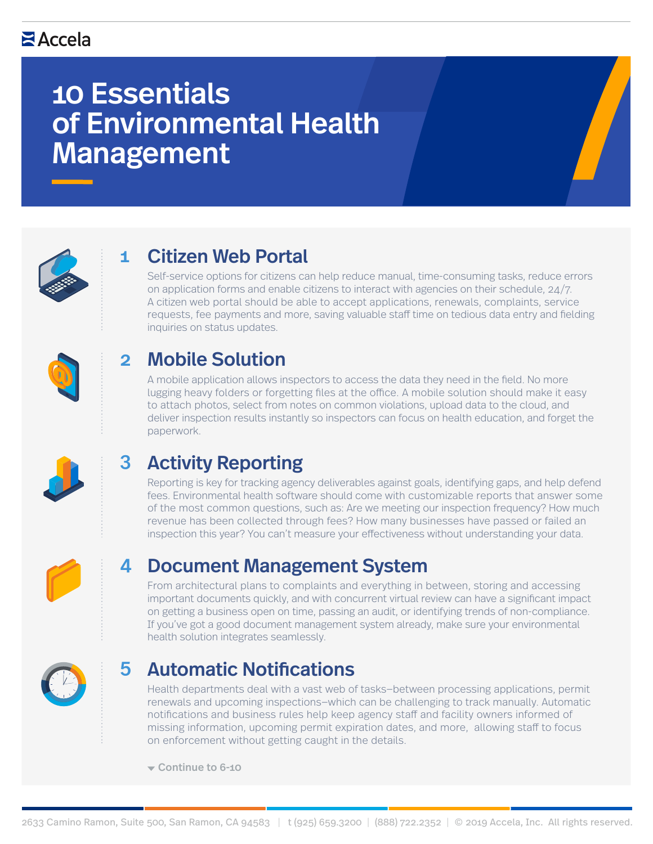# 10 Essentials of Environmental Health Management



### 1 Citizen Web Portal

Self-service options for citizens can help reduce manual, time-consuming tasks, reduce errors on application forms and enable citizens to interact with agencies on their schedule, 24/7. A citizen web portal should be able to accept applications, renewals, complaints, service requests, fee payments and more, saving valuable staff time on tedious data entry and fielding inquiries on status updates.



### Mobile Solution  $\mathbf{C}$

A mobile application allows inspectors to access the data they need in the field. No more lugging heavy folders or forgetting files at the office. A mobile solution should make it easy to attach photos, select from notes on common violations, upload data to the cloud, and deliver inspection results instantly so inspectors can focus on health education, and forget the paperwork.



### Activity Reporting 3

Reporting is key for tracking agency deliverables against goals, identifying gaps, and help defend fees. Environmental health software should come with customizable reports that answer some of the most common questions, such as: Are we meeting our inspection frequency? How much revenue has been collected through fees? How many businesses have passed or failed an inspection this year? You can't measure your effectiveness without understanding your data.



### Document Management System 4

From architectural plans to complaints and everything in between, storing and accessing important documents quickly, and with concurrent virtual review can have a significant impact on getting a business open on time, passing an audit, or identifying trends of non-compliance. If you've got a good document management system already, make sure your environmental health solution integrates seamlessly.



### **Automatic Notifications** 5

Health departments deal with a vast web of tasks—between processing applications, permit renewals and upcoming inspections—which can be challenging to track manually. Automatic notifications and business rules help keep agency staff and facility owners informed of missing information, upcoming permit expiration dates, and more, allowing staff to focus on enforcement without getting caught in the details.

Continue to 6-10